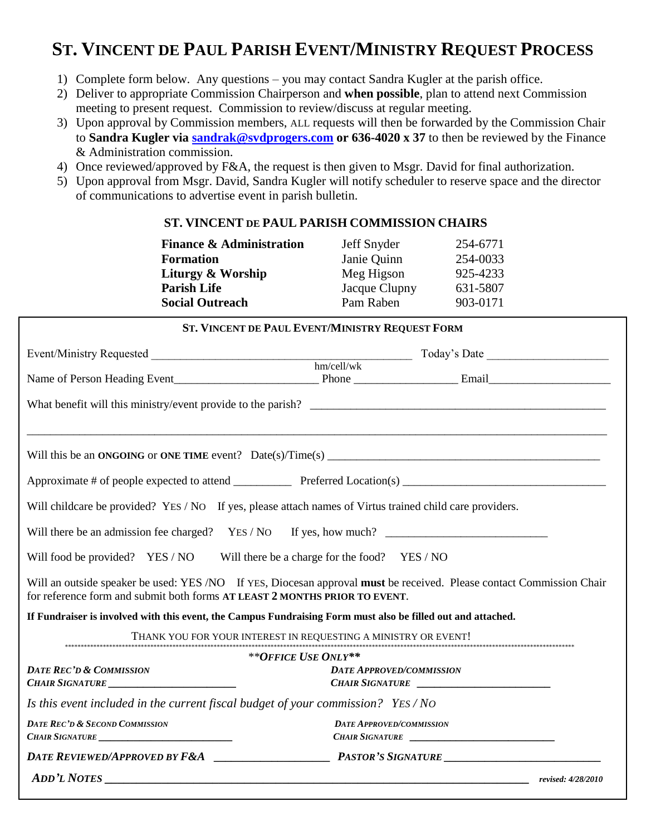## **ST. VINCENT DE PAUL PARISH EVENT/MINISTRY REQUEST PROCESS**

- 1) Complete form below. Any questions you may contact Sandra Kugler at the parish office.
- 2) Deliver to appropriate Commission Chairperson and **when possible**, plan to attend next Commission meeting to present request. Commission to review/discuss at regular meeting.
- 3) Upon approval by Commission members, ALL requests will then be forwarded by the Commission Chair to **Sandra Kugler via [sandrak@svdprogers.com](mailto:sandrak@svdprogers.com) or 636-4020 x 37** to then be reviewed by the Finance & Administration commission.
- 4) Once reviewed/approved by F&A, the request is then given to Msgr. David for final authorization.
- 5) Upon approval from Msgr. David, Sandra Kugler will notify scheduler to reserve space and the director of communications to advertise event in parish bulletin.

## **ST. VINCENT DE PAUL PARISH COMMISSION CHAIRS**

| <b>Finance &amp; Administration</b> | Jeff Snyder   | 254-6771 |
|-------------------------------------|---------------|----------|
| <b>Formation</b>                    | Janie Quinn   | 254-0033 |
| Liturgy & Worship                   | Meg Higson    | 925-4233 |
| <b>Parish Life</b>                  | Jacque Clupny | 631-5807 |
| <b>Social Outreach</b>              | Pam Raben     | 903-0171 |

| ST. VINCENT DE PAUL EVENT/MINISTRY REQUEST FORM                                                              |                                                                                                                      |  |  |  |  |
|--------------------------------------------------------------------------------------------------------------|----------------------------------------------------------------------------------------------------------------------|--|--|--|--|
|                                                                                                              |                                                                                                                      |  |  |  |  |
|                                                                                                              |                                                                                                                      |  |  |  |  |
|                                                                                                              |                                                                                                                      |  |  |  |  |
|                                                                                                              | What benefit will this ministry/event provide to the parish?                                                         |  |  |  |  |
|                                                                                                              |                                                                                                                      |  |  |  |  |
|                                                                                                              |                                                                                                                      |  |  |  |  |
|                                                                                                              |                                                                                                                      |  |  |  |  |
| Will childcare be provided? YES / NO If yes, please attach names of Virtus trained child care providers.     |                                                                                                                      |  |  |  |  |
|                                                                                                              |                                                                                                                      |  |  |  |  |
| Will food be provided? YES / NO Will there be a charge for the food? YES / NO                                |                                                                                                                      |  |  |  |  |
| for reference form and submit both forms AT LEAST 2 MONTHS PRIOR TO EVENT.                                   | Will an outside speaker be used: YES /NO If YES, Diocesan approval must be received. Please contact Commission Chair |  |  |  |  |
| If Fundraiser is involved with this event, the Campus Fundraising Form must also be filled out and attached. |                                                                                                                      |  |  |  |  |
|                                                                                                              | THANK YOU FOR YOUR INTEREST IN REQUESTING A MINISTRY OR EVENT!                                                       |  |  |  |  |
|                                                                                                              | **OFFICE USE ONLY**                                                                                                  |  |  |  |  |
| <b>DATE REC'D &amp; COMMISSION</b><br>CHAIR SIGNATURE                                                        | <b>DATE APPROVED/COMMISSION</b><br>CHAIR SIGNATURE                                                                   |  |  |  |  |
| Is this event included in the current fiscal budget of your commission? YES/NO                               |                                                                                                                      |  |  |  |  |
| <b>DATE REC'D &amp; SECOND COMMISSION</b><br>CHAIR SIGNATURE                                                 | <b>DATE APPROVED/COMMISSION</b><br>CHAIR SIGNATURE                                                                   |  |  |  |  |
|                                                                                                              |                                                                                                                      |  |  |  |  |
| <b>ADD'L NOTES</b>                                                                                           | revised: 4/28/2010                                                                                                   |  |  |  |  |